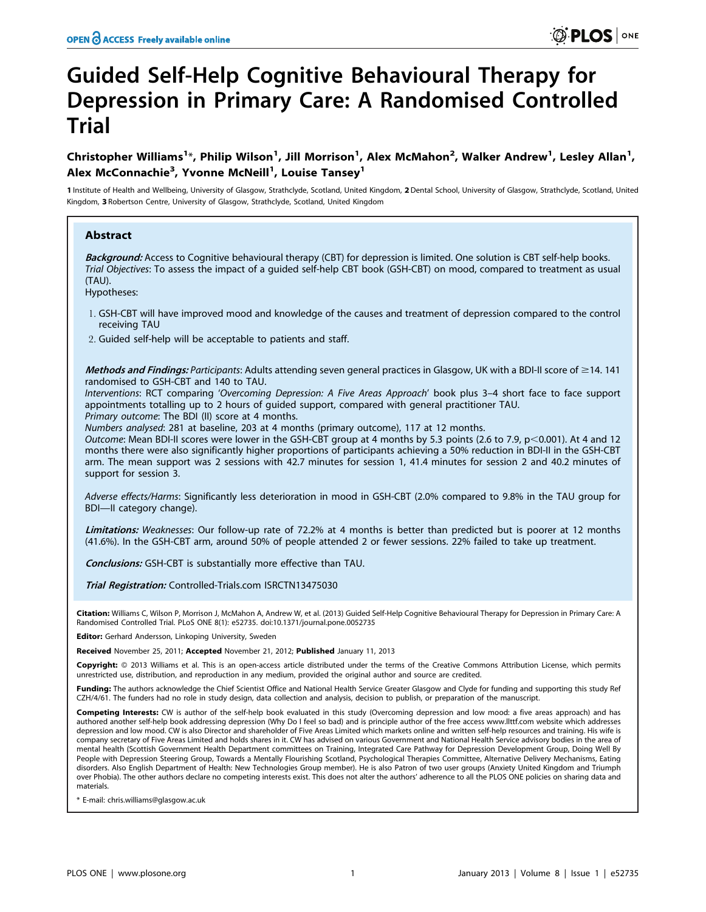# Guided Self-Help Cognitive Behavioural Therapy for Depression in Primary Care: A Randomised Controlled Trial

## Christopher Williams<sup>1</sup>\*, Philip Wilson<sup>1</sup>, Jill Morrison<sup>1</sup>, Alex McMahon<sup>2</sup>, Walker Andrew<sup>1</sup>, Lesley Allan<sup>1</sup>, Alex McConnachie<sup>3</sup>, Yvonne McNeill<sup>1</sup>, Louise Tansey<sup>1</sup>

1 Institute of Health and Wellbeing, University of Glasgow, Strathclyde, Scotland, United Kingdom, 2Dental School, University of Glasgow, Strathclyde, Scotland, United Kingdom, 3 Robertson Centre, University of Glasgow, Strathclyde, Scotland, United Kingdom

## Abstract

Background: Access to Cognitive behavioural therapy (CBT) for depression is limited. One solution is CBT self-help books. Trial Objectives: To assess the impact of a guided self-help CBT book (GSH-CBT) on mood, compared to treatment as usual (TAU).

Hypotheses:

- 1. GSH-CBT will have improved mood and knowledge of the causes and treatment of depression compared to the control receiving TAU
- 2. Guided self-help will be acceptable to patients and staff.

Methods and Findings: Participants: Adults attending seven general practices in Glasgow, UK with a BDI-II score of  $\geq$ 14. 141 randomised to GSH-CBT and 140 to TAU.

Interventions: RCT comparing 'Overcoming Depression: A Five Areas Approach' book plus 3–4 short face to face support appointments totalling up to 2 hours of guided support, compared with general practitioner TAU. Primary outcome: The BDI (II) score at 4 months.

Numbers analysed: 281 at baseline, 203 at 4 months (primary outcome), 117 at 12 months.

Outcome: Mean BDI-II scores were lower in the GSH-CBT group at 4 months by 5.3 points (2.6 to 7.9,  $p$  < 0.001). At 4 and 12 months there were also significantly higher proportions of participants achieving a 50% reduction in BDI-II in the GSH-CBT arm. The mean support was 2 sessions with 42.7 minutes for session 1, 41.4 minutes for session 2 and 40.2 minutes of support for session 3.

Adverse effects/Harms: Significantly less deterioration in mood in GSH-CBT (2.0% compared to 9.8% in the TAU group for BDI—II category change).

Limitations: Weaknesses: Our follow-up rate of 72.2% at 4 months is better than predicted but is poorer at 12 months (41.6%). In the GSH-CBT arm, around 50% of people attended 2 or fewer sessions. 22% failed to take up treatment.

Conclusions: GSH-CBT is substantially more effective than TAU.

Trial Registration: Controlled-Trials.com ISRCTN13475030

Citation: Williams C, Wilson P, Morrison J, McMahon A, Andrew W, et al. (2013) Guided Self-Help Cognitive Behavioural Therapy for Depression in Primary Care: A Randomised Controlled Trial. PLoS ONE 8(1): e52735. doi:10.1371/journal.pone.0052735

Editor: Gerhard Andersson, Linkoping University, Sweden

Received November 25, 2011; Accepted November 21, 2012; Published January 11, 2013

Copyright: © 2013 Williams et al. This is an open-access article distributed under the terms of the Creative Commons Attribution License, which permits unrestricted use, distribution, and reproduction in any medium, provided the original author and source are credited.

Funding: The authors acknowledge the Chief Scientist Office and National Health Service Greater Glasgow and Clyde for funding and supporting this study Ref CZH/4/61. The funders had no role in study design, data collection and analysis, decision to publish, or preparation of the manuscript.

Competing Interests: CW is author of the self-help book evaluated in this study (Overcoming depression and low mood: a five areas approach) and has authored another self-help book addressing depression (Why Do I feel so bad) and is principle author of the free access www.llttf.com website which addresses depression and low mood. CW is also Director and shareholder of Five Areas Limited which markets online and written self-help resources and training. His wife is company secretary of Five Areas Limited and holds shares in it. CW has advised on various Government and National Health Service advisory bodies in the area of mental health (Scottish Government Health Department committees on Training, Integrated Care Pathway for Depression Development Group, Doing Well By People with Depression Steering Group, Towards a Mentally Flourishing Scotland, Psychological Therapies Committee, Alternative Delivery Mechanisms, Eating disorders. Also English Department of Health: New Technologies Group member). He is also Patron of two user groups (Anxiety United Kingdom and Triumph over Phobia). The other authors declare no competing interests exist. This does not alter the authors' adherence to all the PLOS ONE policies on sharing data and materials.

\* E-mail: chris.williams@glasgow.ac.uk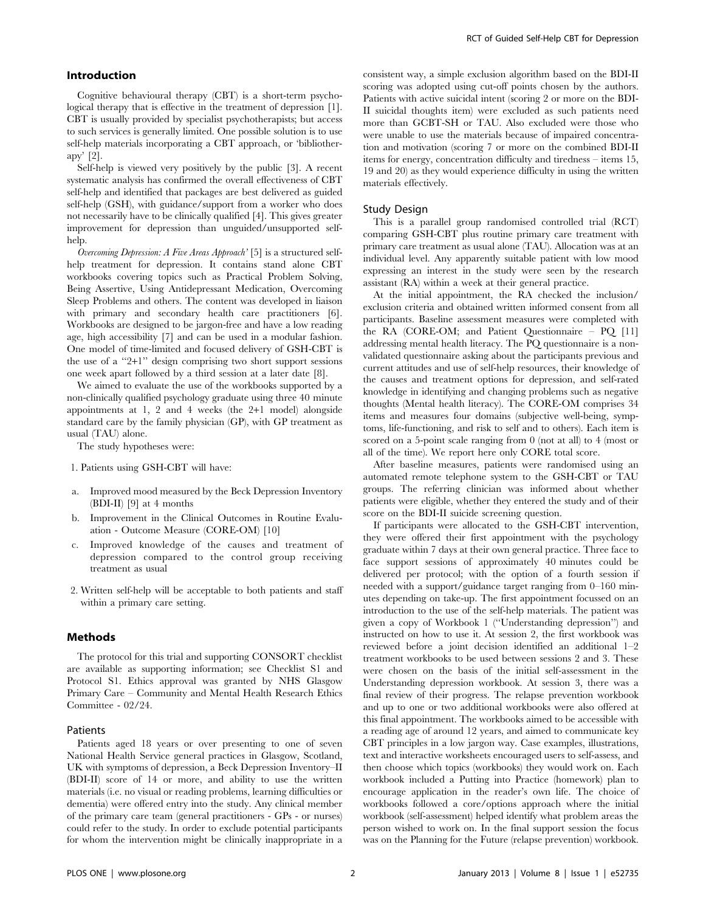## Introduction

Cognitive behavioural therapy (CBT) is a short-term psychological therapy that is effective in the treatment of depression [1]. CBT is usually provided by specialist psychotherapists; but access to such services is generally limited. One possible solution is to use self-help materials incorporating a CBT approach, or 'bibliotherapy' [2].

Self-help is viewed very positively by the public [3]. A recent systematic analysis has confirmed the overall effectiveness of CBT self-help and identified that packages are best delivered as guided self-help (GSH), with guidance/support from a worker who does not necessarily have to be clinically qualified [4]. This gives greater improvement for depression than unguided/unsupported selfhelp.

Overcoming Depression: A Five Areas Approach' [5] is a structured selfhelp treatment for depression. It contains stand alone CBT workbooks covering topics such as Practical Problem Solving, Being Assertive, Using Antidepressant Medication, Overcoming Sleep Problems and others. The content was developed in liaison with primary and secondary health care practitioners [6]. Workbooks are designed to be jargon-free and have a low reading age, high accessibility [7] and can be used in a modular fashion. One model of time-limited and focused delivery of GSH-CBT is the use of a ''2+1'' design comprising two short support sessions one week apart followed by a third session at a later date [8].

We aimed to evaluate the use of the workbooks supported by a non-clinically qualified psychology graduate using three 40 minute appointments at 1, 2 and 4 weeks (the 2+1 model) alongside standard care by the family physician (GP), with GP treatment as usual (TAU) alone.

The study hypotheses were:

- 1. Patients using GSH-CBT will have:
- a. Improved mood measured by the Beck Depression Inventory (BDI-II) [9] at 4 months
- b. Improvement in the Clinical Outcomes in Routine Evaluation - Outcome Measure (CORE-OM) [10]
- c. Improved knowledge of the causes and treatment of depression compared to the control group receiving treatment as usual
- 2. Written self-help will be acceptable to both patients and staff within a primary care setting.

## Methods

The protocol for this trial and supporting CONSORT checklist are available as supporting information; see Checklist S1 and Protocol S1. Ethics approval was granted by NHS Glasgow Primary Care – Community and Mental Health Research Ethics Committee - 02/24.

### Patients

Patients aged 18 years or over presenting to one of seven National Health Service general practices in Glasgow, Scotland, UK with symptoms of depression, a Beck Depression Inventory–II (BDI-II) score of 14 or more, and ability to use the written materials (i.e. no visual or reading problems, learning difficulties or dementia) were offered entry into the study. Any clinical member of the primary care team (general practitioners - GPs - or nurses) could refer to the study. In order to exclude potential participants for whom the intervention might be clinically inappropriate in a consistent way, a simple exclusion algorithm based on the BDI-II scoring was adopted using cut-off points chosen by the authors. Patients with active suicidal intent (scoring 2 or more on the BDI-II suicidal thoughts item) were excluded as such patients need more than GCBT-SH or TAU. Also excluded were those who were unable to use the materials because of impaired concentration and motivation (scoring 7 or more on the combined BDI-II items for energy, concentration difficulty and tiredness – items 15, 19 and 20) as they would experience difficulty in using the written materials effectively.

### Study Design

This is a parallel group randomised controlled trial (RCT) comparing GSH-CBT plus routine primary care treatment with primary care treatment as usual alone (TAU). Allocation was at an individual level. Any apparently suitable patient with low mood expressing an interest in the study were seen by the research assistant (RA) within a week at their general practice.

At the initial appointment, the RA checked the inclusion/ exclusion criteria and obtained written informed consent from all participants. Baseline assessment measures were completed with the RA (CORE-OM; and Patient Questionnaire – PQ [11] addressing mental health literacy. The PQ questionnaire is a nonvalidated questionnaire asking about the participants previous and current attitudes and use of self-help resources, their knowledge of the causes and treatment options for depression, and self-rated knowledge in identifying and changing problems such as negative thoughts (Mental health literacy). The CORE-OM comprises 34 items and measures four domains (subjective well-being, symptoms, life-functioning, and risk to self and to others). Each item is scored on a 5-point scale ranging from 0 (not at all) to 4 (most or all of the time). We report here only CORE total score.

After baseline measures, patients were randomised using an automated remote telephone system to the GSH-CBT or TAU groups. The referring clinician was informed about whether patients were eligible, whether they entered the study and of their score on the BDI-II suicide screening question.

If participants were allocated to the GSH-CBT intervention, they were offered their first appointment with the psychology graduate within 7 days at their own general practice. Three face to face support sessions of approximately 40 minutes could be delivered per protocol; with the option of a fourth session if needed with a support/guidance target ranging from 0–160 minutes depending on take-up. The first appointment focussed on an introduction to the use of the self-help materials. The patient was given a copy of Workbook 1 (''Understanding depression'') and instructed on how to use it. At session 2, the first workbook was reviewed before a joint decision identified an additional 1–2 treatment workbooks to be used between sessions 2 and 3. These were chosen on the basis of the initial self-assessment in the Understanding depression workbook. At session 3, there was a final review of their progress. The relapse prevention workbook and up to one or two additional workbooks were also offered at this final appointment. The workbooks aimed to be accessible with a reading age of around 12 years, and aimed to communicate key CBT principles in a low jargon way. Case examples, illustrations, text and interactive worksheets encouraged users to self-assess, and then choose which topics (workbooks) they would work on. Each workbook included a Putting into Practice (homework) plan to encourage application in the reader's own life. The choice of workbooks followed a core/options approach where the initial workbook (self-assessment) helped identify what problem areas the person wished to work on. In the final support session the focus was on the Planning for the Future (relapse prevention) workbook.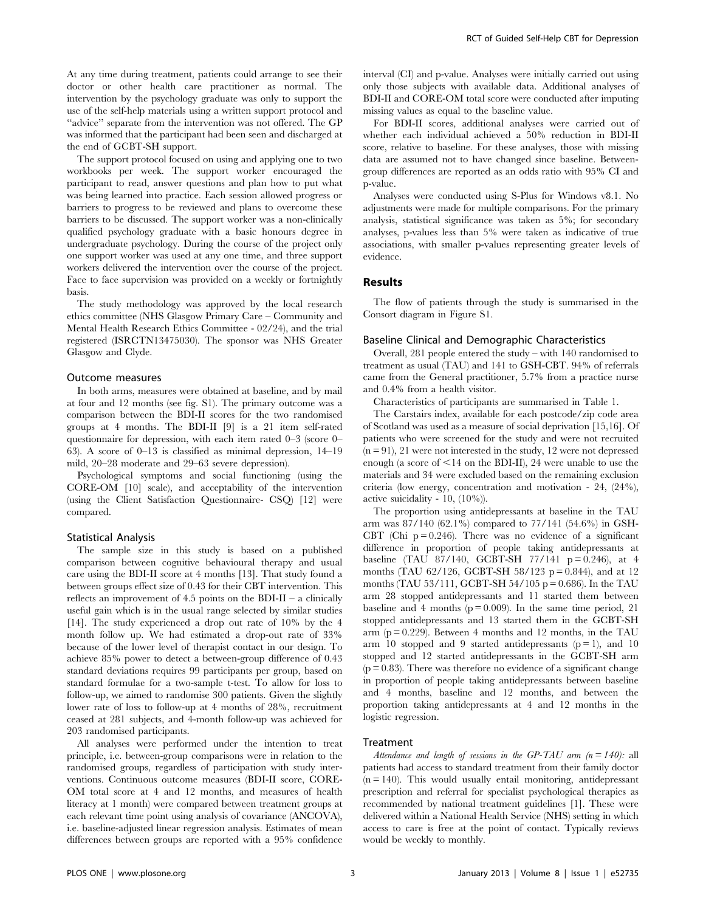At any time during treatment, patients could arrange to see their doctor or other health care practitioner as normal. The intervention by the psychology graduate was only to support the use of the self-help materials using a written support protocol and ''advice'' separate from the intervention was not offered. The GP was informed that the participant had been seen and discharged at the end of GCBT-SH support.

The support protocol focused on using and applying one to two workbooks per week. The support worker encouraged the participant to read, answer questions and plan how to put what was being learned into practice. Each session allowed progress or barriers to progress to be reviewed and plans to overcome these barriers to be discussed. The support worker was a non-clinically qualified psychology graduate with a basic honours degree in undergraduate psychology. During the course of the project only one support worker was used at any one time, and three support workers delivered the intervention over the course of the project. Face to face supervision was provided on a weekly or fortnightly basis.

The study methodology was approved by the local research ethics committee (NHS Glasgow Primary Care – Community and Mental Health Research Ethics Committee - 02/24), and the trial registered (ISRCTN13475030). The sponsor was NHS Greater Glasgow and Clyde.

### Outcome measures

In both arms, measures were obtained at baseline, and by mail at four and 12 months (see fig. S1). The primary outcome was a comparison between the BDI-II scores for the two randomised groups at 4 months. The BDI-II [9] is a 21 item self-rated questionnaire for depression, with each item rated 0–3 (score 0– 63). A score of 0–13 is classified as minimal depression, 14–19 mild, 20–28 moderate and 29–63 severe depression).

Psychological symptoms and social functioning (using the CORE-OM [10] scale), and acceptability of the intervention (using the Client Satisfaction Questionnaire- CSQ) [12] were compared.

#### Statistical Analysis

The sample size in this study is based on a published comparison between cognitive behavioural therapy and usual care using the BDI-II score at 4 months [13]. That study found a between groups effect size of 0.43 for their CBT intervention. This reflects an improvement of 4.5 points on the BDI-II – a clinically useful gain which is in the usual range selected by similar studies [14]. The study experienced a drop out rate of 10% by the 4 month follow up. We had estimated a drop-out rate of 33% because of the lower level of therapist contact in our design. To achieve 85% power to detect a between-group difference of 0.43 standard deviations requires 99 participants per group, based on standard formulae for a two-sample t-test. To allow for loss to follow-up, we aimed to randomise 300 patients. Given the slightly lower rate of loss to follow-up at 4 months of 28%, recruitment ceased at 281 subjects, and 4-month follow-up was achieved for 203 randomised participants.

All analyses were performed under the intention to treat principle, i.e. between-group comparisons were in relation to the randomised groups, regardless of participation with study interventions. Continuous outcome measures (BDI-II score, CORE-OM total score at 4 and 12 months, and measures of health literacy at 1 month) were compared between treatment groups at each relevant time point using analysis of covariance (ANCOVA), i.e. baseline-adjusted linear regression analysis. Estimates of mean differences between groups are reported with a 95% confidence interval (CI) and p-value. Analyses were initially carried out using only those subjects with available data. Additional analyses of BDI-II and CORE-OM total score were conducted after imputing missing values as equal to the baseline value.

For BDI-II scores, additional analyses were carried out of whether each individual achieved a 50% reduction in BDI-II score, relative to baseline. For these analyses, those with missing data are assumed not to have changed since baseline. Betweengroup differences are reported as an odds ratio with 95% CI and p-value.

Analyses were conducted using S-Plus for Windows v8.1. No adjustments were made for multiple comparisons. For the primary analysis, statistical significance was taken as 5%; for secondary analyses, p-values less than 5% were taken as indicative of true associations, with smaller p-values representing greater levels of evidence.

## Results

The flow of patients through the study is summarised in the Consort diagram in Figure S1.

## Baseline Clinical and Demographic Characteristics

Overall, 281 people entered the study – with 140 randomised to treatment as usual (TAU) and 141 to GSH-CBT. 94% of referrals came from the General practitioner, 5.7% from a practice nurse and 0.4% from a health visitor.

Characteristics of participants are summarised in Table 1.

The Carstairs index, available for each postcode/zip code area of Scotland was used as a measure of social deprivation [15,16]. Of patients who were screened for the study and were not recruited  $(n = 91)$ , 21 were not interested in the study, 12 were not depressed enough (a score of  $\leq$ 14 on the BDI-II), 24 were unable to use the materials and 34 were excluded based on the remaining exclusion criteria (low energy, concentration and motivation - 24, (24%), active suicidality - 10, (10%)).

The proportion using antidepressants at baseline in the TAU arm was 87/140 (62.1%) compared to 77/141 (54.6%) in GSH-CBT (Chi  $p = 0.246$ ). There was no evidence of a significant difference in proportion of people taking antidepressants at baseline (TAU 87/140, GCBT-SH 77/141  $p = 0.246$ ), at 4 months (TAU 62/126, GCBT-SH 58/123 p = 0.844), and at 12 months (TAU 53/111, GCBT-SH 54/105 p = 0.686). In the TAU arm 28 stopped antidepressants and 11 started them between baseline and 4 months  $(p = 0.009)$ . In the same time period, 21 stopped antidepressants and 13 started them in the GCBT-SH arm  $(p = 0.229)$ . Between 4 months and 12 months, in the TAU arm 10 stopped and 9 started antidepressants  $(p = 1)$ , and 10 stopped and 12 started antidepressants in the GCBT-SH arm  $(p = 0.83)$ . There was therefore no evidence of a significant change in proportion of people taking antidepressants between baseline and 4 months, baseline and 12 months, and between the proportion taking antidepressants at 4 and 12 months in the logistic regression.

## Treatment

Attendance and length of sessions in the GP-TAU arm  $(n = 140)$ : all patients had access to standard treatment from their family doctor  $(n = 140)$ . This would usually entail monitoring, antidepressant prescription and referral for specialist psychological therapies as recommended by national treatment guidelines [1]. These were delivered within a National Health Service (NHS) setting in which access to care is free at the point of contact. Typically reviews would be weekly to monthly.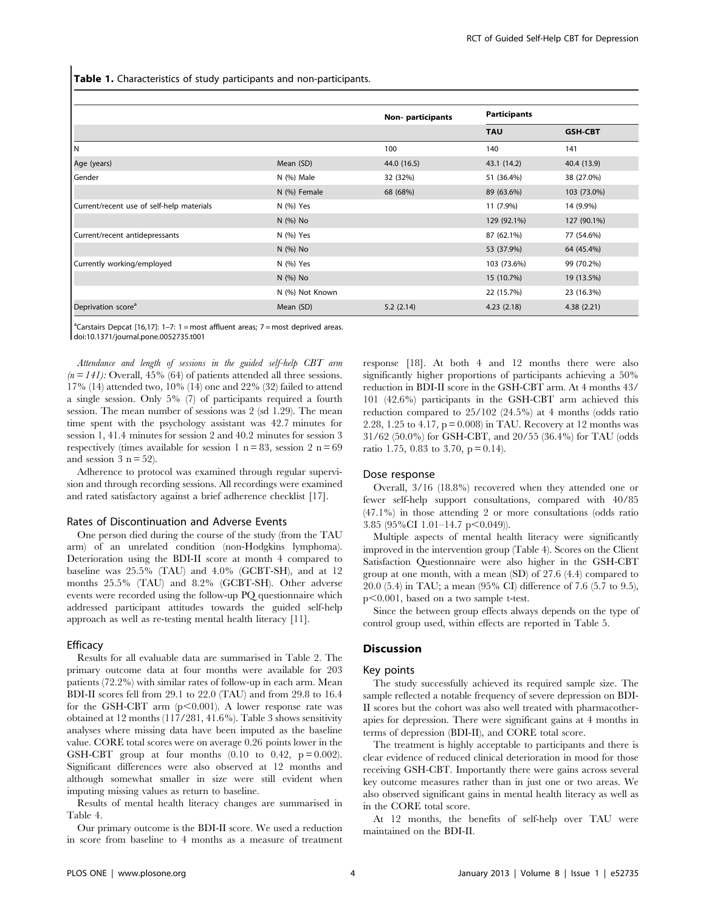Table 1. Characteristics of study participants and non-participants.

|                                           |                 | Non-participants | <b>Participants</b> |                |
|-------------------------------------------|-----------------|------------------|---------------------|----------------|
|                                           |                 |                  | <b>TAU</b>          | <b>GSH-CBT</b> |
| IΝ                                        |                 | 100              | 140                 | 141            |
| Age (years)                               | Mean (SD)       | 44.0 (16.5)      | 43.1 (14.2)         | 40.4 (13.9)    |
| Gender                                    | N (%) Male      | 32 (32%)         | 51 (36.4%)          | 38 (27.0%)     |
|                                           | N (%) Female    | 68 (68%)         | 89 (63.6%)          | 103 (73.0%)    |
| Current/recent use of self-help materials | N (%) Yes       |                  | 11 (7.9%)           | 14 (9.9%)      |
|                                           | N (%) No        |                  | 129 (92.1%)         | 127 (90.1%)    |
| Current/recent antidepressants            | N (%) Yes       |                  | 87 (62.1%)          | 77 (54.6%)     |
|                                           | N (%) No        |                  | 53 (37.9%)          | 64 (45.4%)     |
| Currently working/employed                | N (%) Yes       |                  | 103 (73.6%)         | 99 (70.2%)     |
|                                           | N (%) No        |                  | 15 (10.7%)          | 19 (13.5%)     |
|                                           | N (%) Not Known |                  | 22 (15.7%)          | 23 (16.3%)     |
| Deprivation score <sup>a</sup>            | Mean (SD)       | 5.2(2.14)        | 4.23(2.18)          | 4.38(2.21)     |

<sup>a</sup>Carstairs Depcat [16,17]: 1-7: 1 = most affluent areas; 7 = most deprived areas. doi:10.1371/journal.pone.0052735.t001

Attendance and length of sessions in the guided self-help CBT arm  $(n = 141)$ : Overall, 45% (64) of patients attended all three sessions. 17% (14) attended two, 10% (14) one and 22% (32) failed to attend a single session. Only 5% (7) of participants required a fourth session. The mean number of sessions was 2 (sd 1.29). The mean time spent with the psychology assistant was 42.7 minutes for session 1, 41.4 minutes for session 2 and 40.2 minutes for session 3 respectively (times available for session 1  $n = 83$ , session 2  $n = 69$ and session  $3$  n = 52).

Adherence to protocol was examined through regular supervision and through recording sessions. All recordings were examined and rated satisfactory against a brief adherence checklist [17].

#### Rates of Discontinuation and Adverse Events

One person died during the course of the study (from the TAU arm) of an unrelated condition (non-Hodgkins lymphoma). Deterioration using the BDI-II score at month 4 compared to baseline was 25.5% (TAU) and 4.0% (GCBT-SH), and at 12 months 25.5% (TAU) and 8.2% (GCBT-SH). Other adverse events were recorded using the follow-up PQ questionnaire which addressed participant attitudes towards the guided self-help approach as well as re-testing mental health literacy [11].

## **Efficacy**

Results for all evaluable data are summarised in Table 2. The primary outcome data at four months were available for 203 patients (72.2%) with similar rates of follow-up in each arm. Mean BDI-II scores fell from 29.1 to 22.0 (TAU) and from 29.8 to 16.4 for the GSH-CBT arm  $(p<0.001)$ . A lower response rate was obtained at 12 months (117/281, 41.6%). Table 3 shows sensitivity analyses where missing data have been imputed as the baseline value. CORE total scores were on average 0.26 points lower in the GSH-CBT group at four months  $(0.10 \text{ to } 0.42, \text{ p} = 0.002)$ . Significant differences were also observed at 12 months and although somewhat smaller in size were still evident when imputing missing values as return to baseline.

Results of mental health literacy changes are summarised in Table 4.

Our primary outcome is the BDI-II score. We used a reduction in score from baseline to 4 months as a measure of treatment

response [18]. At both 4 and 12 months there were also significantly higher proportions of participants achieving a 50% reduction in BDI-II score in the GSH-CBT arm. At 4 months 43/ 101 (42.6%) participants in the GSH-CBT arm achieved this reduction compared to 25/102 (24.5%) at 4 months (odds ratio 2.28, 1.25 to 4.17,  $p = 0.008$  in TAU. Recovery at 12 months was 31/62 (50.0%) for GSH-CBT, and 20/55 (36.4%) for TAU (odds ratio 1.75, 0.83 to 3.70,  $p = 0.14$ ).

#### Dose response

Overall, 3/16 (18.8%) recovered when they attended one or fewer self-help support consultations, compared with 40/85 (47.1%) in those attending 2 or more consultations (odds ratio 3.85 (95%CI 1.01-14.7  $p<0.049$ )).

Multiple aspects of mental health literacy were significantly improved in the intervention group (Table 4). Scores on the Client Satisfaction Questionnaire were also higher in the GSH-CBT group at one month, with a mean (SD) of 27.6 (4.4) compared to 20.0 (5.4) in TAU; a mean (95% CI) difference of 7.6 (5.7 to 9.5),  $p<0.001$ , based on a two sample t-test.

Since the between group effects always depends on the type of control group used, within effects are reported in Table 5.

## Discussion

#### Key points

The study successfully achieved its required sample size. The sample reflected a notable frequency of severe depression on BDI-II scores but the cohort was also well treated with pharmacotherapies for depression. There were significant gains at 4 months in terms of depression (BDI-II), and CORE total score.

The treatment is highly acceptable to participants and there is clear evidence of reduced clinical deterioration in mood for those receiving GSH-CBT. Importantly there were gains across several key outcome measures rather than in just one or two areas. We also observed significant gains in mental health literacy as well as in the CORE total score.

At 12 months, the benefits of self-help over TAU were maintained on the BDI-II.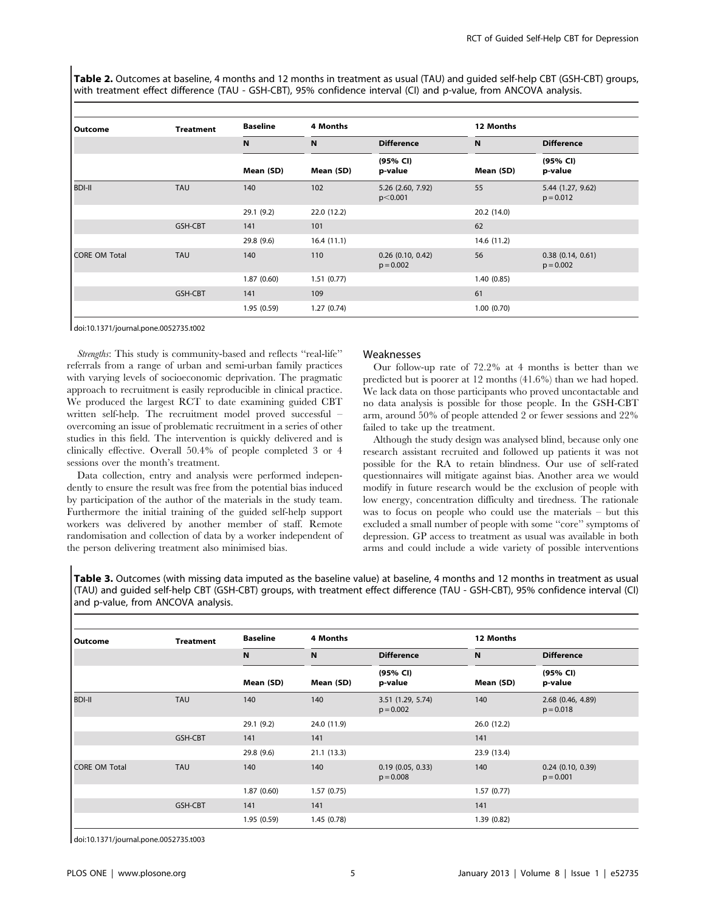Table 2. Outcomes at baseline, 4 months and 12 months in treatment as usual (TAU) and quided self-help CBT (GSH-CBT) groups, with treatment effect difference (TAU - GSH-CBT), 95% confidence interval (CI) and p-value, from ANCOVA analysis.

| Outcome              | <b>Treatment</b> | <b>Baseline</b><br>N<br>Mean (SD) | 4 Months                 |                                          | 12 Months   |                                          |  |
|----------------------|------------------|-----------------------------------|--------------------------|------------------------------------------|-------------|------------------------------------------|--|
|                      |                  |                                   | $\mathbf N$<br>Mean (SD) | <b>Difference</b><br>(95% CI)<br>p-value | N           | <b>Difference</b><br>(95% CI)<br>p-value |  |
|                      |                  |                                   |                          |                                          | Mean (SD)   |                                          |  |
| <b>BDI-II</b>        | <b>TAU</b>       | 140                               | 102                      | 5.26 (2.60, 7.92)<br>p<0.001             | 55          | 5.44 (1.27, 9.62)<br>$p = 0.012$         |  |
|                      |                  | 29.1 (9.2)                        | 22.0 (12.2)              |                                          | 20.2 (14.0) |                                          |  |
|                      | GSH-CBT          | 141                               | 101                      |                                          | 62          |                                          |  |
|                      |                  | 29.8 (9.6)                        | 16.4(11.1)               |                                          | 14.6 (11.2) |                                          |  |
| <b>CORE OM Total</b> | <b>TAU</b>       | 140                               | 110                      | $0.26$ (0.10, 0.42)<br>$p = 0.002$       | 56          | 0.38(0.14, 0.61)<br>$p = 0.002$          |  |
|                      |                  | 1.87(0.60)                        | 1.51(0.77)               |                                          | 1.40(0.85)  |                                          |  |
|                      | <b>GSH-CBT</b>   | 141                               | 109                      |                                          | 61          |                                          |  |
|                      |                  | 1.95(0.59)                        | 1.27(0.74)               |                                          | 1.00(0.70)  |                                          |  |

doi:10.1371/journal.pone.0052735.t002

Strengths: This study is community-based and reflects "real-life" referrals from a range of urban and semi-urban family practices with varying levels of socioeconomic deprivation. The pragmatic approach to recruitment is easily reproducible in clinical practice. We produced the largest RCT to date examining guided CBT written self-help. The recruitment model proved successful – overcoming an issue of problematic recruitment in a series of other studies in this field. The intervention is quickly delivered and is clinically effective. Overall 50.4% of people completed 3 or 4 sessions over the month's treatment.

Data collection, entry and analysis were performed independently to ensure the result was free from the potential bias induced by participation of the author of the materials in the study team. Furthermore the initial training of the guided self-help support workers was delivered by another member of staff. Remote randomisation and collection of data by a worker independent of the person delivering treatment also minimised bias.

#### Weaknesses

Our follow-up rate of 72.2% at 4 months is better than we predicted but is poorer at 12 months (41.6%) than we had hoped. We lack data on those participants who proved uncontactable and no data analysis is possible for those people. In the GSH-CBT arm, around 50% of people attended 2 or fewer sessions and 22% failed to take up the treatment.

Although the study design was analysed blind, because only one research assistant recruited and followed up patients it was not possible for the RA to retain blindness. Our use of self-rated questionnaires will mitigate against bias. Another area we would modify in future research would be the exclusion of people with low energy, concentration difficulty and tiredness. The rationale was to focus on people who could use the materials – but this excluded a small number of people with some ''core'' symptoms of depression. GP access to treatment as usual was available in both arms and could include a wide variety of possible interventions

Table 3. Outcomes (with missing data imputed as the baseline value) at baseline, 4 months and 12 months in treatment as usual (TAU) and guided self-help CBT (GSH-CBT) groups, with treatment effect difference (TAU - GSH-CBT), 95% confidence interval (CI) and p-value, from ANCOVA analysis.

| Outcome              | <b>Treatment</b> | <b>Baseline</b><br>N | 4 Months    |                                  | 12 Months   |                                    |  |
|----------------------|------------------|----------------------|-------------|----------------------------------|-------------|------------------------------------|--|
|                      |                  |                      | N           | <b>Difference</b>                | N           | <b>Difference</b>                  |  |
|                      |                  | Mean (SD)            | Mean (SD)   | (95% CI)<br>p-value              | Mean (SD)   | (95% CI)<br>p-value                |  |
| <b>BDI-II</b>        | <b>TAU</b>       | 140                  | 140         | 3.51 (1.29, 5.74)<br>$p = 0.002$ | 140         | 2.68 (0.46, 4.89)<br>$p = 0.018$   |  |
|                      |                  | 29.1 (9.2)           | 24.0 (11.9) |                                  | 26.0 (12.2) |                                    |  |
|                      | GSH-CBT          | 141                  | 141         |                                  | 141         |                                    |  |
|                      |                  | 29.8(9.6)            | 21.1(13.3)  |                                  | 23.9 (13.4) |                                    |  |
| <b>CORE OM Total</b> | <b>TAU</b>       | 140                  | 140         | 0.19(0.05, 0.33)<br>$p = 0.008$  | 140         | $0.24$ (0.10, 0.39)<br>$p = 0.001$ |  |
|                      |                  | 1.87(0.60)           | 1.57(0.75)  |                                  | 1.57(0.77)  |                                    |  |
|                      | GSH-CBT          | 141                  | 141         |                                  | 141         |                                    |  |
|                      |                  | 1.95(0.59)           | 1.45(0.78)  |                                  | 1.39 (0.82) |                                    |  |

doi:10.1371/journal.pone.0052735.t003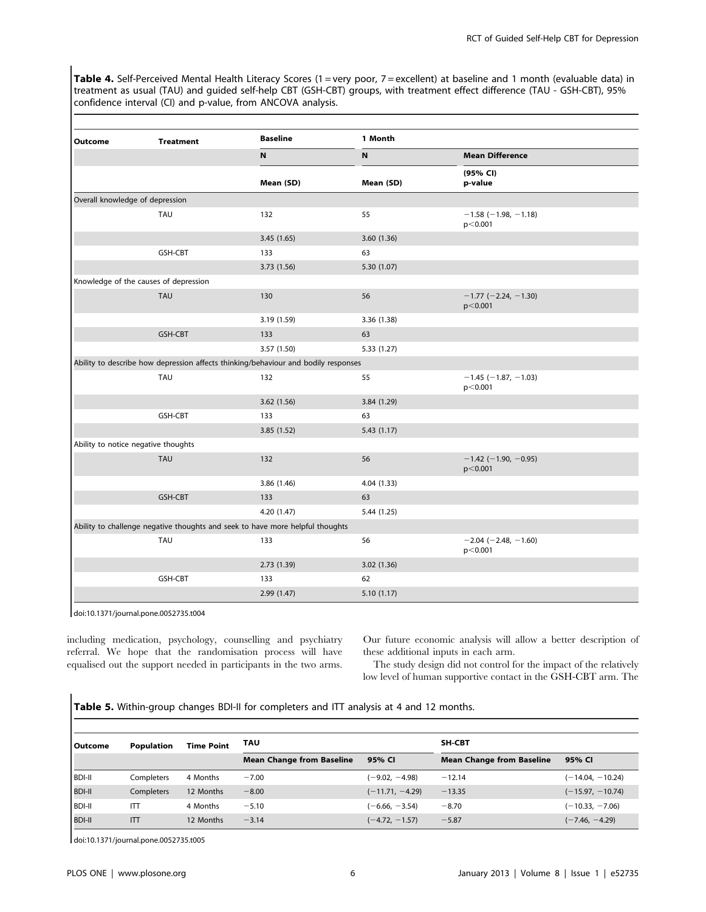Table 4. Self-Perceived Mental Health Literacy Scores (1 = very poor, 7 = excellent) at baseline and 1 month (evaluable data) in treatment as usual (TAU) and guided self-help CBT (GSH-CBT) groups, with treatment effect difference (TAU - GSH-CBT), 95% confidence interval (CI) and p-value, from ANCOVA analysis.

| Outcome                         | <b>Treatment</b>                      | <b>Baseline</b>                                                                    | 1 Month     |                                          |  |  |
|---------------------------------|---------------------------------------|------------------------------------------------------------------------------------|-------------|------------------------------------------|--|--|
|                                 |                                       | N                                                                                  | N           | <b>Mean Difference</b>                   |  |  |
|                                 |                                       | Mean (SD)                                                                          | Mean (SD)   | (95% CI)<br>p-value                      |  |  |
| Overall knowledge of depression |                                       |                                                                                    |             |                                          |  |  |
|                                 | TAU                                   | 132                                                                                | 55          | $-1.58$ ( $-1.98$ , $-1.18$ )<br>p<0.001 |  |  |
|                                 |                                       | 3.45 (1.65)                                                                        | 3.60 (1.36) |                                          |  |  |
|                                 | GSH-CBT                               | 133                                                                                | 63          |                                          |  |  |
|                                 |                                       | 3.73 (1.56)                                                                        | 5.30 (1.07) |                                          |  |  |
|                                 | Knowledge of the causes of depression |                                                                                    |             |                                          |  |  |
|                                 | <b>TAU</b>                            | 130                                                                                | 56          | $-1.77$ (-2.24, -1.30)<br>p<0.001        |  |  |
|                                 |                                       | 3.19 (1.59)                                                                        | 3.36 (1.38) |                                          |  |  |
|                                 | GSH-CBT                               | 133                                                                                | 63          |                                          |  |  |
|                                 |                                       | 3.57 (1.50)                                                                        | 5.33 (1.27) |                                          |  |  |
|                                 |                                       | Ability to describe how depression affects thinking/behaviour and bodily responses |             |                                          |  |  |
|                                 | TAU                                   | 132                                                                                | 55          | $-1.45$ (-1.87, -1.03)<br>p<0.001        |  |  |
|                                 |                                       | 3.62(1.56)                                                                         | 3.84 (1.29) |                                          |  |  |
|                                 | GSH-CBT                               | 133                                                                                | 63          |                                          |  |  |
|                                 |                                       | 3.85 (1.52)                                                                        | 5.43(1.17)  |                                          |  |  |
|                                 | Ability to notice negative thoughts   |                                                                                    |             |                                          |  |  |
|                                 | <b>TAU</b>                            | 132                                                                                | 56          | $-1.42$ (-1.90, -0.95)<br>p<0.001        |  |  |
|                                 |                                       | 3.86 (1.46)                                                                        | 4.04 (1.33) |                                          |  |  |
|                                 | GSH-CBT                               | 133                                                                                | 63          |                                          |  |  |
|                                 |                                       | 4.20 (1.47)                                                                        | 5.44(1.25)  |                                          |  |  |
|                                 |                                       | Ability to challenge negative thoughts and seek to have more helpful thoughts      |             |                                          |  |  |
|                                 | <b>TAU</b>                            | 133                                                                                | 56          | $-2.04$ ( $-2.48$ , $-1.60$ )<br>p<0.001 |  |  |
|                                 |                                       | 2.73 (1.39)                                                                        | 3.02 (1.36) |                                          |  |  |
|                                 | GSH-CBT                               | 133                                                                                | 62          |                                          |  |  |
|                                 |                                       | 2.99 (1.47)                                                                        | 5.10 (1.17) |                                          |  |  |

doi:10.1371/journal.pone.0052735.t004

including medication, psychology, counselling and psychiatry referral. We hope that the randomisation process will have equalised out the support needed in participants in the two arms.

Our future economic analysis will allow a better description of these additional inputs in each arm.

The study design did not control for the impact of the relatively low level of human supportive contact in the GSH-CBT arm. The

Table 5. Within-group changes BDI-II for completers and ITT analysis at 4 and 12 months.

| l Outcome     | Population | <b>Time Point</b> | TAU                              |                   | <b>SH-CBT</b>                    |                    |
|---------------|------------|-------------------|----------------------------------|-------------------|----------------------------------|--------------------|
|               |            |                   | <b>Mean Change from Baseline</b> | 95% CI            | <b>Mean Change from Baseline</b> | 95% CI             |
| <b>BDI-II</b> | Completers | 4 Months          | $-7.00$                          | $(-9.02, -4.98)$  | $-12.14$                         | $(-14.04, -10.24)$ |
| <b>BDI-II</b> | Completers | 12 Months         | $-8.00$                          | $(-11.71, -4.29)$ | $-13.35$                         | $(-15.97, -10.74)$ |
| <b>BDI-II</b> | ITT        | 4 Months          | $-5.10$                          | $(-6.66, -3.54)$  | $-8.70$                          | $(-10.33, -7.06)$  |
| <b>BDI-II</b> | ITT        | 12 Months         | $-3.14$                          | $(-4.72, -1.57)$  | $-5.87$                          | $(-7.46, -4.29)$   |

doi:10.1371/journal.pone.0052735.t005